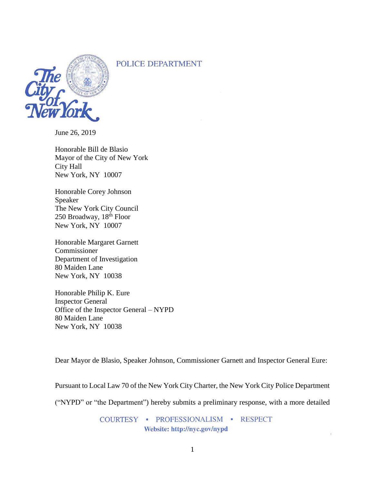POLICE DEPARTMENT



June 26, 2019

Honorable Bill de Blasio Mayor of the City of New York City Hall New York, NY 10007

Honorable Corey Johnson Speaker The New York City Council 250 Broadway, 18th Floor New York, NY 10007

Honorable Margaret Garnett Commissioner Department of Investigation 80 Maiden Lane New York, NY 10038

Honorable Philip K. Eure Inspector General Office of the Inspector General – NYPD 80 Maiden Lane New York, NY 10038

Dear Mayor de Blasio, Speaker Johnson, Commissioner Garnett and Inspector General Eure:

Pursuant to Local Law 70 of the New York City Charter, the New York City Police Department

("NYPD" or "the Department") hereby submits a preliminary response, with a more detailed

COURTESY · PROFESSIONALISM · RESPECT Website: http://nyc.gov/nypd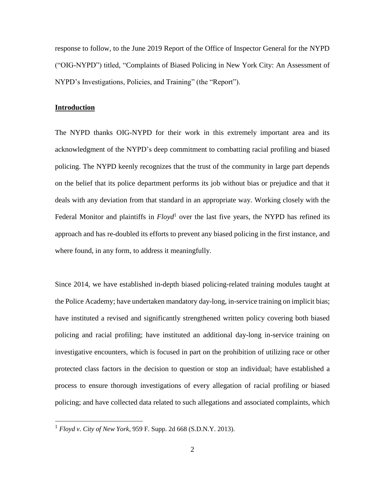response to follow, to the June 2019 Report of the Office of Inspector General for the NYPD ("OIG-NYPD") titled, "Complaints of Biased Policing in New York City: An Assessment of NYPD's Investigations, Policies, and Training" (the "Report").

# **Introduction**

 $\overline{a}$ 

The NYPD thanks OIG-NYPD for their work in this extremely important area and its acknowledgment of the NYPD's deep commitment to combatting racial profiling and biased policing. The NYPD keenly recognizes that the trust of the community in large part depends on the belief that its police department performs its job without bias or prejudice and that it deals with any deviation from that standard in an appropriate way. Working closely with the Federal Monitor and plaintiffs in *Floyd*<sup>1</sup> over the last five years, the NYPD has refined its approach and has re-doubled its efforts to prevent any biased policing in the first instance, and where found, in any form, to address it meaningfully.

Since 2014, we have established in-depth biased policing-related training modules taught at the Police Academy; have undertaken mandatory day-long, in-service training on implicit bias; have instituted a revised and significantly strengthened written policy covering both biased policing and racial profiling; have instituted an additional day-long in-service training on investigative encounters, which is focused in part on the prohibition of utilizing race or other protected class factors in the decision to question or stop an individual; have established a process to ensure thorough investigations of every allegation of racial profiling or biased policing; and have collected data related to such allegations and associated complaints, which

<sup>1</sup> *Floyd v. City of New York*, 959 F. Supp. 2d 668 (S.D.N.Y. 2013).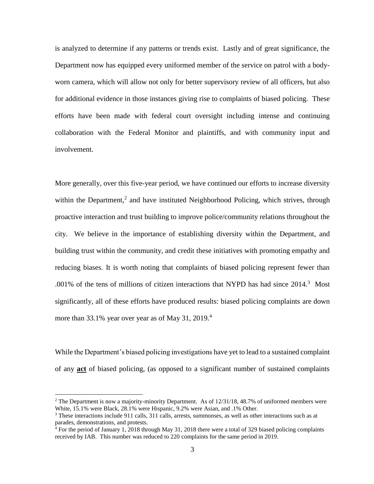is analyzed to determine if any patterns or trends exist. Lastly and of great significance, the Department now has equipped every uniformed member of the service on patrol with a bodyworn camera, which will allow not only for better supervisory review of all officers, but also for additional evidence in those instances giving rise to complaints of biased policing. These efforts have been made with federal court oversight including intense and continuing collaboration with the Federal Monitor and plaintiffs, and with community input and involvement.

More generally, over this five-year period, we have continued our efforts to increase diversity within the Department,<sup>2</sup> and have instituted Neighborhood Policing, which strives, through proactive interaction and trust building to improve police/community relations throughout the city. We believe in the importance of establishing diversity within the Department, and building trust within the community, and credit these initiatives with promoting empathy and reducing biases. It is worth noting that complaints of biased policing represent fewer than .001% of the tens of millions of citizen interactions that NYPD has had since 2014.<sup>3</sup> Most significantly, all of these efforts have produced results: biased policing complaints are down more than 33.1% year over year as of May 31, 2019.<sup>4</sup>

While the Department's biased policing investigations have yet to lead to a sustained complaint of any **act** of biased policing, (as opposed to a significant number of sustained complaints

 $\overline{a}$ 

<sup>&</sup>lt;sup>2</sup> The Department is now a majority-minority Department. As of  $12/31/18$ , 48.7% of uniformed members were White, 15.1% were Black, 28.1% were Hispanic, 9.2% were Asian, and .1% Other.

 $3$  These interactions include 911 calls, 311 calls, arrests, summonses, as well as other interactions such as at parades, demonstrations, and protests.

<sup>4</sup> For the period of January 1, 2018 through May 31, 2018 there were a total of 329 biased policing complaints received by IAB. This number was reduced to 220 complaints for the same period in 2019.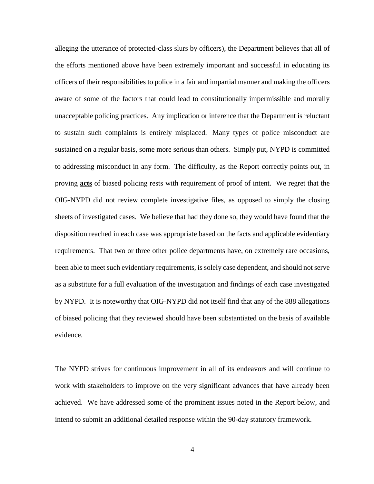alleging the utterance of protected-class slurs by officers), the Department believes that all of the efforts mentioned above have been extremely important and successful in educating its officers of their responsibilities to police in a fair and impartial manner and making the officers aware of some of the factors that could lead to constitutionally impermissible and morally unacceptable policing practices. Any implication or inference that the Department is reluctant to sustain such complaints is entirely misplaced. Many types of police misconduct are sustained on a regular basis, some more serious than others. Simply put, NYPD is committed to addressing misconduct in any form. The difficulty, as the Report correctly points out, in proving **acts** of biased policing rests with requirement of proof of intent. We regret that the OIG-NYPD did not review complete investigative files, as opposed to simply the closing sheets of investigated cases. We believe that had they done so, they would have found that the disposition reached in each case was appropriate based on the facts and applicable evidentiary requirements. That two or three other police departments have, on extremely rare occasions, been able to meet such evidentiary requirements, is solely case dependent, and should not serve as a substitute for a full evaluation of the investigation and findings of each case investigated by NYPD. It is noteworthy that OIG-NYPD did not itself find that any of the 888 allegations of biased policing that they reviewed should have been substantiated on the basis of available evidence.

The NYPD strives for continuous improvement in all of its endeavors and will continue to work with stakeholders to improve on the very significant advances that have already been achieved. We have addressed some of the prominent issues noted in the Report below, and intend to submit an additional detailed response within the 90-day statutory framework.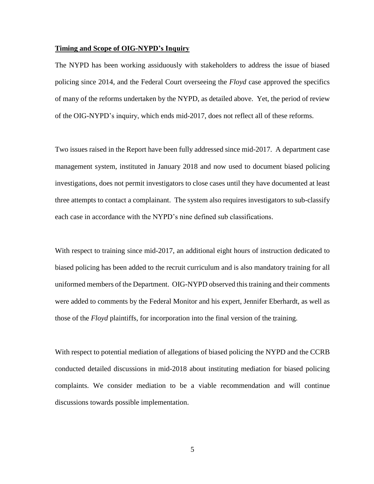### **Timing and Scope of OIG-NYPD's Inquiry**

The NYPD has been working assiduously with stakeholders to address the issue of biased policing since 2014, and the Federal Court overseeing the *Floyd* case approved the specifics of many of the reforms undertaken by the NYPD, as detailed above. Yet, the period of review of the OIG-NYPD's inquiry, which ends mid-2017, does not reflect all of these reforms.

Two issues raised in the Report have been fully addressed since mid-2017. A department case management system, instituted in January 2018 and now used to document biased policing investigations, does not permit investigators to close cases until they have documented at least three attempts to contact a complainant. The system also requires investigators to sub-classify each case in accordance with the NYPD's nine defined sub classifications.

With respect to training since mid-2017, an additional eight hours of instruction dedicated to biased policing has been added to the recruit curriculum and is also mandatory training for all uniformed members of the Department. OIG-NYPD observed this training and their comments were added to comments by the Federal Monitor and his expert, Jennifer Eberhardt, as well as those of the *Floyd* plaintiffs, for incorporation into the final version of the training.

With respect to potential mediation of allegations of biased policing the NYPD and the CCRB conducted detailed discussions in mid-2018 about instituting mediation for biased policing complaints. We consider mediation to be a viable recommendation and will continue discussions towards possible implementation.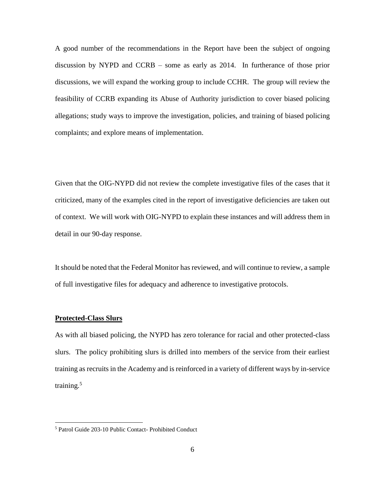A good number of the recommendations in the Report have been the subject of ongoing discussion by NYPD and CCRB – some as early as 2014. In furtherance of those prior discussions, we will expand the working group to include CCHR. The group will review the feasibility of CCRB expanding its Abuse of Authority jurisdiction to cover biased policing allegations; study ways to improve the investigation, policies, and training of biased policing complaints; and explore means of implementation.

Given that the OIG-NYPD did not review the complete investigative files of the cases that it criticized, many of the examples cited in the report of investigative deficiencies are taken out of context. We will work with OIG-NYPD to explain these instances and will address them in detail in our 90-day response.

It should be noted that the Federal Monitor has reviewed, and will continue to review, a sample of full investigative files for adequacy and adherence to investigative protocols.

### **Protected-Class Slurs**

 $\overline{a}$ 

As with all biased policing, the NYPD has zero tolerance for racial and other protected-class slurs. The policy prohibiting slurs is drilled into members of the service from their earliest training as recruits in the Academy and is reinforced in a variety of different ways by in-service training.<sup>5</sup>

<sup>5</sup> Patrol Guide 203-10 Public Contact- Prohibited Conduct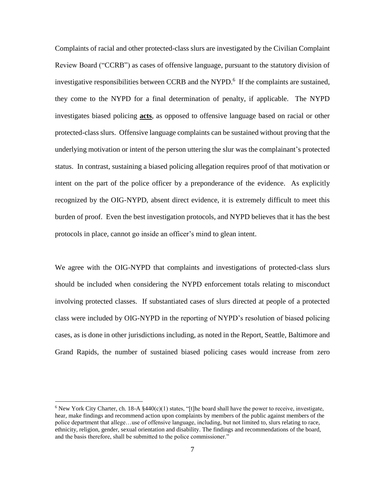Complaints of racial and other protected-class slurs are investigated by the Civilian Complaint Review Board ("CCRB") as cases of offensive language, pursuant to the statutory division of investigative responsibilities between CCRB and the NYPD. 6 If the complaints are sustained, they come to the NYPD for a final determination of penalty, if applicable. The NYPD investigates biased policing **acts**, as opposed to offensive language based on racial or other protected-class slurs. Offensive language complaints can be sustained without proving that the underlying motivation or intent of the person uttering the slur was the complainant's protected status. In contrast, sustaining a biased policing allegation requires proof of that motivation or intent on the part of the police officer by a preponderance of the evidence. As explicitly recognized by the OIG-NYPD, absent direct evidence, it is extremely difficult to meet this burden of proof. Even the best investigation protocols, and NYPD believes that it has the best protocols in place, cannot go inside an officer's mind to glean intent.

We agree with the OIG-NYPD that complaints and investigations of protected-class slurs should be included when considering the NYPD enforcement totals relating to misconduct involving protected classes. If substantiated cases of slurs directed at people of a protected class were included by OIG-NYPD in the reporting of NYPD's resolution of biased policing cases, as is done in other jurisdictions including, as noted in the Report, Seattle, Baltimore and Grand Rapids, the number of sustained biased policing cases would increase from zero

 $\overline{a}$ 

<sup>&</sup>lt;sup>6</sup> New York City Charter, ch. 18-A  $$440(c)(1)$  states, "[t]he board shall have the power to receive, investigate, hear, make findings and recommend action upon complaints by members of the public against members of the police department that allege…use of offensive language, including, but not limited to, slurs relating to race, ethnicity, religion, gender, sexual orientation and disability. The findings and recommendations of the board, and the basis therefore, shall be submitted to the police commissioner."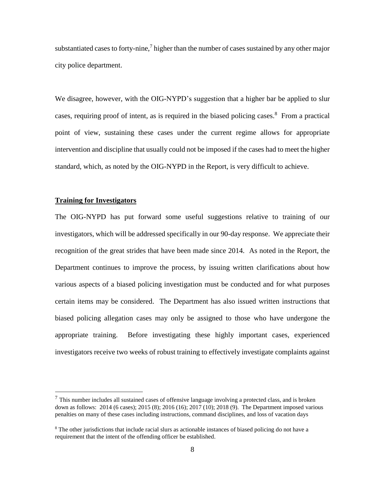substantiated cases to forty-nine, $\frac{7}{7}$  higher than the number of cases sustained by any other major city police department.

We disagree, however, with the OIG-NYPD's suggestion that a higher bar be applied to slur cases, requiring proof of intent, as is required in the biased policing cases.<sup>8</sup> From a practical point of view, sustaining these cases under the current regime allows for appropriate intervention and discipline that usually could not be imposed if the cases had to meet the higher standard, which, as noted by the OIG-NYPD in the Report, is very difficult to achieve.

# **Training for Investigators**

 $\overline{a}$ 

The OIG-NYPD has put forward some useful suggestions relative to training of our investigators, which will be addressed specifically in our 90-day response. We appreciate their recognition of the great strides that have been made since 2014. As noted in the Report, the Department continues to improve the process, by issuing written clarifications about how various aspects of a biased policing investigation must be conducted and for what purposes certain items may be considered. The Department has also issued written instructions that biased policing allegation cases may only be assigned to those who have undergone the appropriate training. Before investigating these highly important cases, experienced investigators receive two weeks of robust training to effectively investigate complaints against

 $<sup>7</sup>$  This number includes all sustained cases of offensive language involving a protected class, and is broken</sup> down as follows: 2014 (6 cases); 2015 (8); 2016 (16); 2017 (10); 2018 (9). The Department imposed various penalties on many of these cases including instructions, command disciplines, and loss of vacation days

<sup>&</sup>lt;sup>8</sup> The other jurisdictions that include racial slurs as actionable instances of biased policing do not have a requirement that the intent of the offending officer be established.